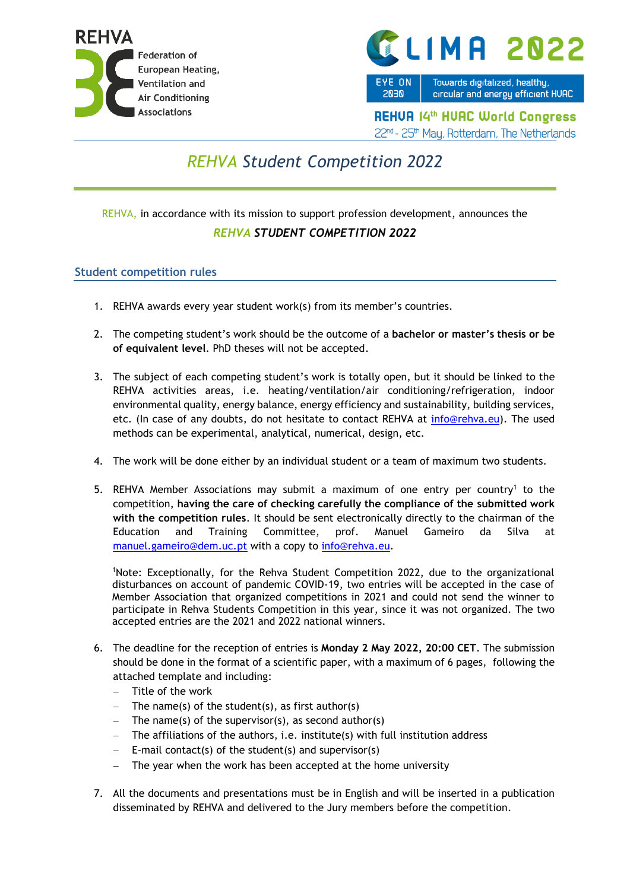



EYE ON **2030** 

Towards digitalized, healthy, circular and energy efficient HUAC

**REHUA 14th HUAC World Congress** 22nd - 25th May, Rotterdam, The Netherlands

## *REHVA Student Competition 2022*

## REHVA, in accordance with its mission to support profession development, announces the *REHVA STUDENT COMPETITION 2022*

## **Student competition rules**

- 1. REHVA awards every year student work(s) from its member's countries.
- 2. The competing student's work should be the outcome of a **bachelor or master's thesis or be of equivalent level**. PhD theses will not be accepted.
- 3. The subject of each competing student's work is totally open, but it should be linked to the REHVA activities areas, i.e. heating/ventilation/air conditioning/refrigeration, indoor environmental quality, energy balance, energy efficiency and sustainability, building services, etc. (In case of any doubts, do not hesitate to contact REHVA at [info@rehva.eu\)](mailto:info@rehva.eu). The used methods can be experimental, analytical, numerical, design, etc.
- 4. The work will be done either by an individual student or a team of maximum two students.
- 5. REHVA Member Associations may submit a maximum of one entry per country<sup>1</sup> to the competition, **having the care of checking carefully the compliance of the submitted work with the competition rules**. It should be sent electronically directly to the chairman of the Education and Training Committee, prof. Manuel Gameiro da Silva at [manuel.gameiro@dem.uc.pt](mailto:manuel.gameiro@dem.uc.pt) with a copy to [info@rehva.eu.](mailto:info@rehva.eu)

<sup>1</sup>Note: Exceptionally, for the Rehva Student Competition 2022, due to the organizational disturbances on account of pandemic COVID-19, two entries will be accepted in the case of Member Association that organized competitions in 2021 and could not send the winner to participate in Rehva Students Competition in this year, since it was not organized. The two accepted entries are the 2021 and 2022 national winners.

- 6. The deadline for the reception of entries is **Monday 2 May 2022, 20:00 CET**. The submission should be done in the format of a scientific paper, with a maximum of 6 pages, following the attached template and including:
	- − Title of the work
	- The name(s) of the student(s), as first author(s)
	- − The name(s) of the supervisor(s), as second author(s)
	- The affiliations of the authors, i.e. institute(s) with full institution address
	- − E-mail contact(s) of the student(s) and supervisor(s)
	- The year when the work has been accepted at the home university
- 7. All the documents and presentations must be in English and will be inserted in a publication disseminated by REHVA and delivered to the Jury members before the competition.